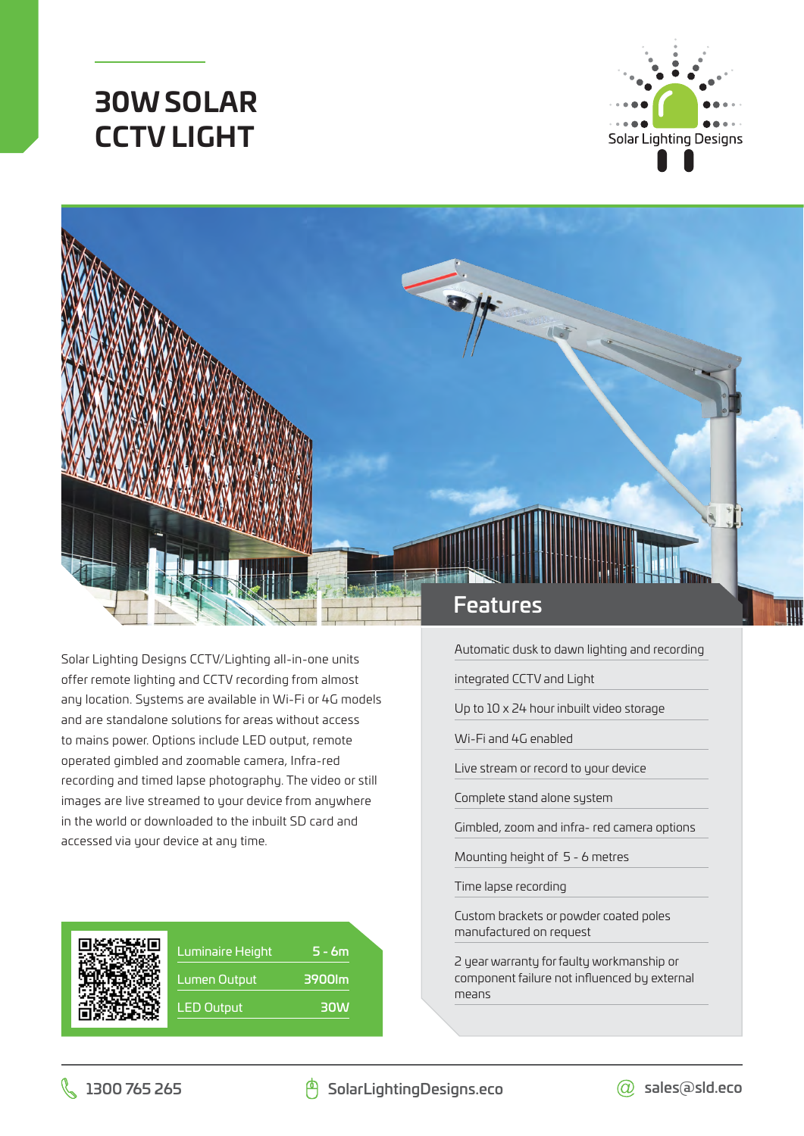# **30W SOLAR CCTV LIGHT**





Solar Lighting Designs CCTV/Lighting all-in-one units offer remote lighting and CCTV recording from almost any location. Systems are available in Wi-Fi or 4G models and are standalone solutions for areas without access to mains power. Options include LED output, remote operated gimbled and zoomable camera, Infra-red recording and timed lapse photography. The video or still images are live streamed to your device from anywhere in the world or downloaded to the inbuilt SD card and accessed via your device at any time.



Luminaire Height 5 - 6m Lumen Output 3900lm LED Output 30W

Automatic dusk to dawn lighting and recording

integrated CCTV and Light

Up to 10 x 24 hour inbuilt video storage

Wi-Fi and 4G enabled

Live stream or record to your device

Complete stand alone system

Gimbled, zoom and infra- red camera options

Mounting height of 5 - 6 metres

Time lapse recording

Custom brackets or powder coated poles manufactured on request

2 year warranty for faulty workmanship or component failure not influenced by external means